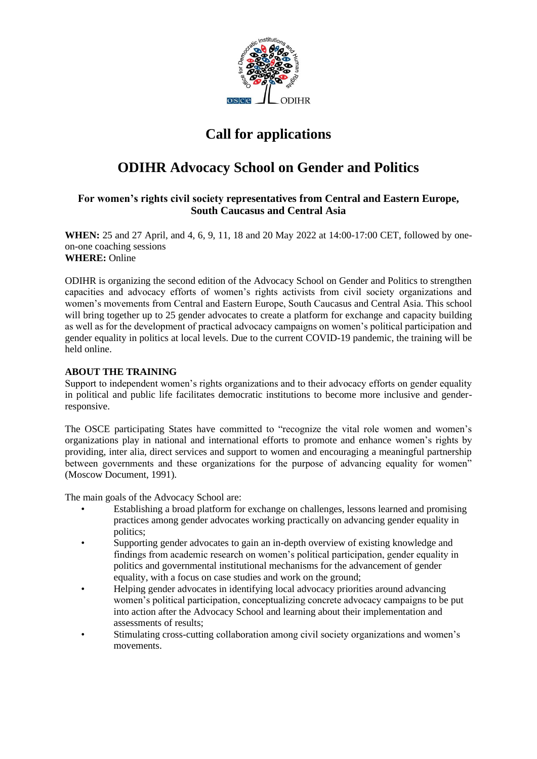

# **Call for applications**

# **ODIHR Advocacy School on Gender and Politics**

## **For women's rights civil society representatives from Central and Eastern Europe, South Caucasus and Central Asia**

**WHEN:** 25 and 27 April, and 4, 6, 9, 11, 18 and 20 May 2022 at 14:00-17:00 CET, followed by oneon-one coaching sessions **WHERE:** Online

ODIHR is organizing the second edition of the Advocacy School on Gender and Politics to strengthen capacities and advocacy efforts of women's rights activists from civil society organizations and women's movements from Central and Eastern Europe, South Caucasus and Central Asia. This school will bring together up to 25 gender advocates to create a platform for exchange and capacity building as well as for the development of practical advocacy campaigns on women's political participation and gender equality in politics at local levels. Due to the current COVID-19 pandemic, the training will be held online.

### **ABOUT THE TRAINING**

Support to independent women's rights organizations and to their advocacy efforts on gender equality in political and public life facilitates democratic institutions to become more inclusive and genderresponsive.

The OSCE participating States have committed to "recognize the vital role women and women's organizations play in national and international efforts to promote and enhance women's rights by providing, inter alia, direct services and support to women and encouraging a meaningful partnership between governments and these organizations for the purpose of advancing equality for women" (Moscow Document, 1991).

The main goals of the Advocacy School are:

- Establishing a broad platform for exchange on challenges, lessons learned and promising practices among gender advocates working practically on advancing gender equality in politics;
- Supporting gender advocates to gain an in-depth overview of existing knowledge and findings from academic research on women's political participation, gender equality in politics and governmental institutional mechanisms for the advancement of gender equality, with a focus on case studies and work on the ground;
- Helping gender advocates in identifying local advocacy priorities around advancing women's political participation, conceptualizing concrete advocacy campaigns to be put into action after the Advocacy School and learning about their implementation and assessments of results;
- Stimulating cross-cutting collaboration among civil society organizations and women's movements.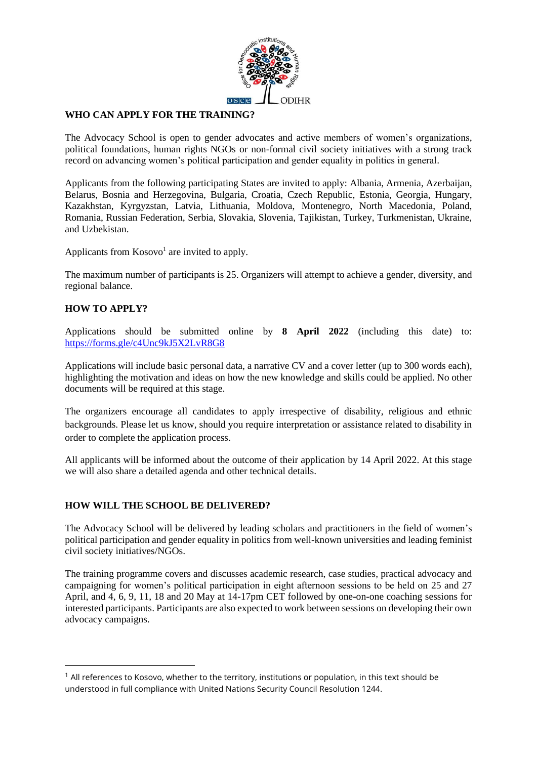

#### **WHO CAN APPLY FOR THE TRAINING?**

The Advocacy School is open to gender advocates and active members of women's organizations, political foundations, human rights NGOs or non-formal civil society initiatives with a strong track record on advancing women's political participation and gender equality in politics in general.

Applicants from the following participating States are invited to apply: Albania, Armenia, Azerbaijan, Belarus, Bosnia and Herzegovina, Bulgaria, Croatia, Czech Republic, Estonia, Georgia, Hungary, Kazakhstan, Kyrgyzstan, Latvia, Lithuania, Moldova, Montenegro, North Macedonia, Poland, Romania, Russian Federation, Serbia, Slovakia, Slovenia, Tajikistan, Turkey, Turkmenistan, Ukraine, and Uzbekistan.

Applicants from  $Kosovo<sup>1</sup>$  are invited to apply.

The maximum number of participants is 25. Organizers will attempt to achieve a gender, diversity, and regional balance.

#### **HOW TO APPLY?**

Applications should be submitted online by **8 April 2022** (including this date) to: <https://forms.gle/c4Unc9kJ5X2LvR8G8>

Applications will include basic personal data, a narrative CV and a cover letter (up to 300 words each), highlighting the motivation and ideas on how the new knowledge and skills could be applied. No other documents will be required at this stage.

The organizers encourage all candidates to apply irrespective of disability, religious and ethnic backgrounds. Please let us know, should you require interpretation or assistance related to disability in order to complete the application process.

All applicants will be informed about the outcome of their application by 14 April 2022. At this stage we will also share a detailed agenda and other technical details.

### **HOW WILL THE SCHOOL BE DELIVERED?**

The Advocacy School will be delivered by leading scholars and practitioners in the field of women's political participation and gender equality in politics from well-known universities and leading feminist civil society initiatives/NGOs.

The training programme covers and discusses academic research, case studies, practical advocacy and campaigning for women's political participation in eight afternoon sessions to be held on 25 and 27 April, and 4, 6, 9, 11, 18 and 20 May at 14-17pm CET followed by one-on-one coaching sessions for interested participants. Participants are also expected to work between sessions on developing their own advocacy campaigns.

 $1$  All references to Kosovo, whether to the territory, institutions or population, in this text should be understood in full compliance with United Nations Security Council Resolution 1244.